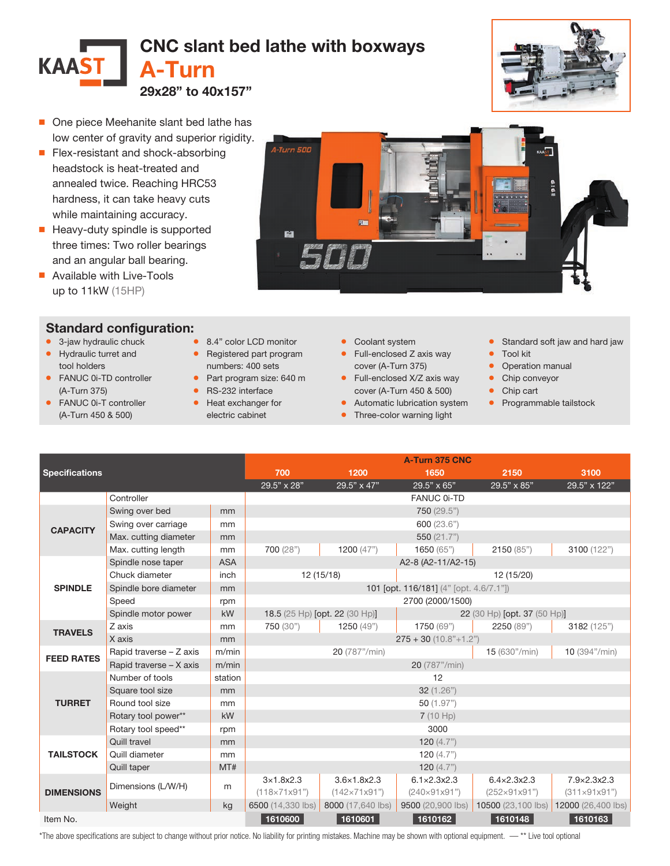

A-Turn 500

図



- One piece Meehanite slant bed lathe has low center of gravity and superior rigidity.
- Flex-resistant and shock-absorbing headstock is heat-treated and annealed twice. Reaching HRC53 hardness, it can take heavy cuts while maintaining accuracy.
- Heavy-duty spindle is supported three times: Two roller bearings and an angular ball bearing.
- Available with Live-Tools up to 11kW (15HP)

## Standard configuration:

- 3-jaw hydraulic chuck
- Hydraulic turret and tool holders
- FANUC 0i-TD controller (A-Turn 375)
- FANUC 0i-T controller (A-Turn 450 & 500)
- numbers: 400 sets
- Part program size: 640 m
- RS-232 interface
- Heat exchanger for electric cabinet
- Coolant system
- Full-enclosed Z axis way cover (A-Turn 375)
- Full-enclosed X/Z axis way cover (A-Turn 450 & 500)
- Automatic lubrication system
- Three-color warning light
- Standard soft jaw and hard jaw
- Tool kit
- Operation manual
- Chip conveyor
- Chip cart
- Programmable tailstock

| <b>Specifications</b> |                         |            | A-Turn 375 CNC                          |                                |                             |                              |                          |  |  |
|-----------------------|-------------------------|------------|-----------------------------------------|--------------------------------|-----------------------------|------------------------------|--------------------------|--|--|
|                       |                         |            | 700                                     | 1200                           | 1650                        | 2150                         | 3100                     |  |  |
|                       |                         |            | 29.5" x 28"                             | $29.5" \times 47"$             | 29.5" x 65"                 | 29.5" x 85"                  | 29.5" x 122"             |  |  |
| Controller            |                         |            |                                         |                                | <b>FANUC 0i-TD</b>          |                              |                          |  |  |
| <b>CAPACITY</b>       | Swing over bed          | mm         |                                         |                                |                             |                              |                          |  |  |
|                       | Swing over carriage     | mm         | 600 (23.6")                             |                                |                             |                              |                          |  |  |
|                       | Max. cutting diameter   | mm         | 550 $(21.7")$                           |                                |                             |                              |                          |  |  |
|                       | Max. cutting length     | mm         | 700 (28")                               | 1200 $(47")$                   | 1650 (65")                  | 2150(85")                    | 3100 (122")              |  |  |
| <b>SPINDLE</b>        | Spindle nose taper      | <b>ASA</b> | A2-8 (A2-11/A2-15)                      |                                |                             |                              |                          |  |  |
|                       | Chuck diameter          | inch       |                                         | 12(15/18)                      |                             | 12 (15/20)                   |                          |  |  |
|                       | Spindle bore diameter   | mm         | 101 [opt. 116/181] (4" [opt. 4.6/7.1"]) |                                |                             |                              |                          |  |  |
|                       | Speed                   | rpm        | 2700 (2000/1500)                        |                                |                             |                              |                          |  |  |
|                       | Spindle motor power     | kW         |                                         | 18.5 (25 Hp) [opt. 22 (30 Hp)] |                             | 22 (30 Hp) [opt. 37 (50 Hp)] |                          |  |  |
| <b>TRAVELS</b>        | Z axis                  | mm         | 750 (30")                               | 1250 (49")                     | 1750 (69")                  | 2250 (89")                   | 3182 (125")              |  |  |
|                       | X axis                  | mm         | $275 + 30 (10.8" + 1.2")$               |                                |                             |                              |                          |  |  |
| <b>FEED RATES</b>     | Rapid traverse - Z axis | m/min      |                                         | 20 (787"/min)                  |                             | 15 (630"/min)                | 10 (394"/min)            |  |  |
|                       | Rapid traverse - X axis | m/min      | 20 (787"/min)                           |                                |                             |                              |                          |  |  |
|                       | Number of tools         | station    | 12                                      |                                |                             |                              |                          |  |  |
|                       | Square tool size        | mm         | 32(1.26")                               |                                |                             |                              |                          |  |  |
| <b>TURRET</b>         | Round tool size         | mm         | 50(1.97")                               |                                |                             |                              |                          |  |  |
|                       | Rotary tool power**     | kW         | 7(10 Hp)                                |                                |                             |                              |                          |  |  |
|                       | Rotary tool speed**     | rpm        | 3000                                    |                                |                             |                              |                          |  |  |
| <b>TAILSTOCK</b>      | Quill travel            | mm         | 120 $(4.7")$                            |                                |                             |                              |                          |  |  |
|                       | Quill diameter          | mm         | 120 $(4.7")$                            |                                |                             |                              |                          |  |  |
|                       | Quill taper             | MT#        |                                         |                                | 120 $(4.7")$                |                              |                          |  |  |
| <b>DIMENSIONS</b>     | Dimensions (L/W/H)      | m          | $3 \times 1.8 \times 2.3$               | $3.6 \times 1.8 \times 2.3$    | $6.1 \times 2.3 \times 2.3$ | $6.4 \times 2.3 \times 2.3$  | 7.9×2.3x2.3              |  |  |
|                       |                         |            | $(118\times71\times91")$                | $(142\times71\times91")$       | $(240\times91\times91")$    | $(252\times91\times91")$     | $(311\times91\times91")$ |  |  |
|                       | Weight                  | kg         | 6500 (14,330 lbs)                       | 8000 (17,640 lbs)              | 9500 (20,900 lbs)           | 10500 (23,100 lbs)           | 12000 (26,400 lbs)       |  |  |
| Item No.              |                         |            | 1610600                                 | 1610601                        | 1610162                     | 1610148                      | 1610163                  |  |  |

\*The above specifications are subject to change without prior notice. No liability for printing mistakes. Machine may be shown with optional equipment. — \*\* Live tool optional

● 8.4" color LCD monitor • Registered part program